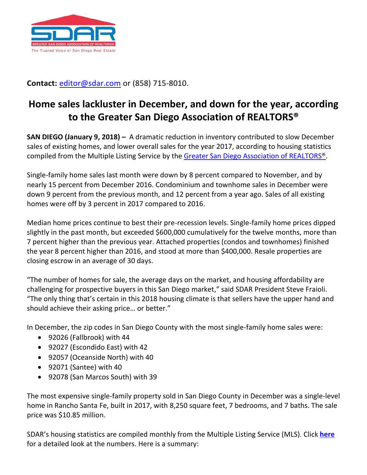

**Contact:** [editor@sdar.com](mailto:editor@sdar.com) or (858) 715-8010.

## **Home sales lackluster in December, and down for the year, according to the Greater San Diego Association of REALTORS®**

**SAN DIEGO (January 9, 2018) –** A dramatic reduction in inventory contributed to slow December sales of existing homes, and lower overall sales for the year 2017, according to housing statistics compiled from the Multiple Listing Service by the Greater San Diego Association [of REALTORS®.](http://www.sdar.com/)

Single-family home sales last month were down by 8 percent compared to November, and by nearly 15 percent from December 2016. Condominium and townhome sales in December were down 9 percent from the previous month, and 12 percent from a year ago. Sales of all existing homes were off by 3 percent in 2017 compared to 2016.

Median home prices continue to best their pre-recession levels. Single-family home prices dipped slightly in the past month, but exceeded \$600,000 cumulatively for the twelve months, more than 7 percent higher than the previous year. Attached properties (condos and townhomes) finished the year 8 percent higher than 2016, and stood at more than \$400,000. Resale properties are closing escrow in an average of 30 days.

"The number of homes for sale, the average days on the market, and housing affordability are challenging for prospective buyers in this San Diego market," said SDAR President Steve Fraioli. "The only thing that's certain in this 2018 housing climate is that sellers have the upper hand and should achieve their asking price… or better."

In December, the zip codes in San Diego County with the most single-family home sales were:

- 92026 (Fallbrook) with 44
- 92027 (Escondido East) with 42
- 92057 (Oceanside North) with 40
- 92071 (Santee) with 40
- 92078 (San Marcos South) with 39

The most expensive single-family property sold in San Diego County in December was a single-level home in Rancho Santa Fe, built in 2017, with 8,250 square feet, 7 bedrooms, and 7 baths. The sale price was \$10.85 million.

SDAR's housing statistics are compiled monthly from the Multiple Listing Service (MLS). Click **[here](http://media.sdar.com/media/CurrentStats.pdf)** for a detailed look at the numbers. Here is a summary: